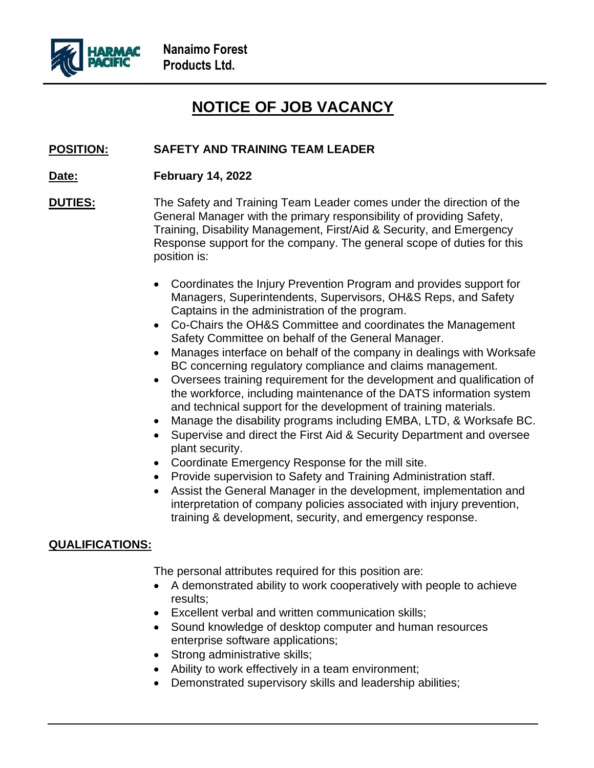

## **NOTICE OF JOB VACANCY**

## **POSITION: SAFETY AND TRAINING TEAM LEADER**

- **Date: February 14, 2022**
- **DUTIES:** The Safety and Training Team Leader comes under the direction of the General Manager with the primary responsibility of providing Safety, Training, Disability Management, First/Aid & Security, and Emergency Response support for the company. The general scope of duties for this position is:
	- Coordinates the Injury Prevention Program and provides support for Managers, Superintendents, Supervisors, OH&S Reps, and Safety Captains in the administration of the program.
	- Co-Chairs the OH&S Committee and coordinates the Management Safety Committee on behalf of the General Manager.
	- Manages interface on behalf of the company in dealings with Worksafe BC concerning regulatory compliance and claims management.
	- Oversees training requirement for the development and qualification of the workforce, including maintenance of the DATS information system and technical support for the development of training materials.
	- Manage the disability programs including EMBA, LTD, & Worksafe BC.
	- Supervise and direct the First Aid & Security Department and oversee plant security.
	- Coordinate Emergency Response for the mill site.
	- Provide supervision to Safety and Training Administration staff.
	- Assist the General Manager in the development, implementation and interpretation of company policies associated with injury prevention, training & development, security, and emergency response.

## **QUALIFICATIONS:**

The personal attributes required for this position are:

- A demonstrated ability to work cooperatively with people to achieve results;
- Excellent verbal and written communication skills;
- Sound knowledge of desktop computer and human resources enterprise software applications;
- Strong administrative skills;
- Ability to work effectively in a team environment;
- Demonstrated supervisory skills and leadership abilities;